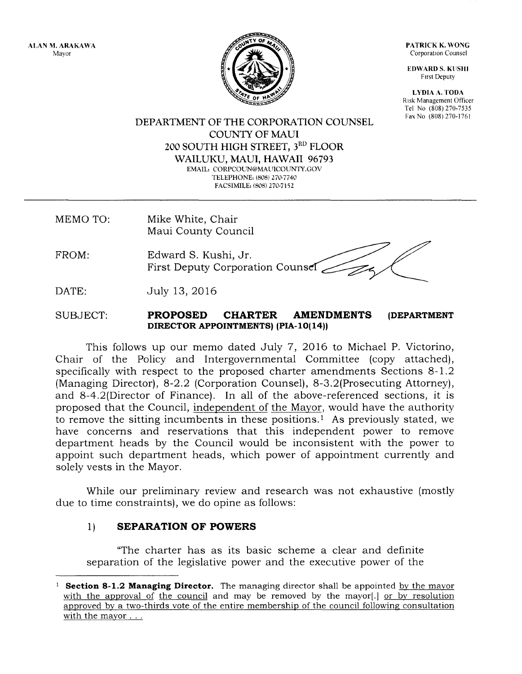ALAN M, ARAKAWA Mayor



PATRICK K. WONG Corporation Counsel

EDWARD S. KUSHI Frrst Deputy

LI'DIA A. I'ODA Risk Management Officer Tel No (808) 270-7535<br>Fax No (808) 270-1761

DEPARTMENT OF THE CORPORATION COUNSEL COLINTY OF MAUI 2OO SOUTH HIGH STREET, 3RD FLOOR WAILUKU, MAUI, HAWAII 96793 EMAIL: CORPCOUN@MAUICOUNTY.GOV TELEPHONE: (808) 270-7740 FACSIMILE, (808) 270.7152

MEMO TO: Mike White, Chair Maui County Council

FROM: Edward S. Kushi, Jr. First Deputy Corporation Coun

DATE: July 13, 2016

#### SUBJECT: PROPOSED CHARTER AMENDMENTS (DEPARTMENT DIRECTOR APPOINTMENTS) (PIA-10(14))

This follows up our memo dated July 7, 2016 to Michael P. Victorino, Chair of the Policy and Intergovernmental Committee (copy attached), specifically with respect to the proposed charter amendments Sections 8-1.2 (Managing Director), 8-2.2 (Corporation Counsel), 8-3.2(Prosecuting Attorney), and 8-4.2(Director of Finance), In all of the above-referenced sections, it is proposed that the Council, independent of the Mayor, would have the authority to remove the sitting incumbents in these positions.<sup>1</sup> As previously stated, we have concerns and reservations that this independent power to remove department heads by the Council would be inconsistent with the power to appoint such department heads, which power of appointment currently and solely vests in the Mayor.

While our preliminary review and research was not exhaustive (mostly due to time constraints), we do opine as follows:

## 1) SEPARATION OF POWERS

"The charter has as its basic scheme a clear and definite separation of the legislative power and the executive power of the

Section 8-1.2 Managing Director. The managing director shall be appointed by the mayor with the approval of the council and may be removed by the mayor[.] or by resolution approved by a two-thirds vote of the entire membership of the council following consultation with the mayor . . .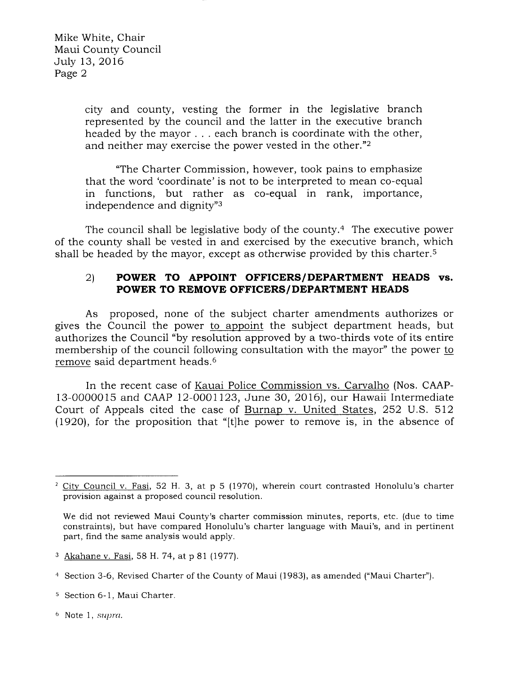Mike White, Chair Maui County Council July 13,2016 Page 2

> city and county, vesting the former in the legislative branch represented by the council and the latter in the executive branch headed by the mayor . . . each branch is coordinate with the other, and neither may exercise the power vested in the other."2

> "The Charter Commission, however, took pains to emphasize that the word 'coordinate'is not to be interpreted to mean co-equal in functions, but rather as co-equal in rank, importance, independence and dignity"s

The council shall be legislative body of the county. $4$  The executive power of the county shall be vested in and exercised by the executive branch, which shall be headed by the mayor, except as otherwise provided by this charter.<sup>5</sup>

## 2) POWER TO APPOINT OTFICERS/DEPARTMENT HEADS vs. POWER TO REMOVE OFFICERS/DEPARTMENT HEADS

As proposed, none of the subject charter amendments authorizes or gives the Council the power to appoint the subject department heads, but authorizes the Council "by resolution approved by a two-thirds vote of its entire membership of the council following consultation with the mayor" the power to remove said department heads.6

In the recent case of Kauai Police Commission vs. Carvalho (Nos. CAAP-13-0000015 and CAAP 12-OOOll23, June 30, 2016), our Hawaii Intermediate Court of Appeals cited the case of Burnap v. United States, 252 U.S. 512 (1920), for the proposition that "[t]he power to remove is, in the absence of

<sup>&</sup>lt;sup>2</sup> City Council v. Fasi, 52 H. 3, at p 5 (1970), wherein court contrasted Honolulu's charter provision against a proposed council resolution.

We did not reviewed Maui County's charter commission minutes, reports, etc. (due to time constraints), but have compared Honolulu's charter language with Maui's, and in pertinent part, find the same analysis would apply.

<sup>&</sup>lt;sup>3</sup> Akahane v. Fasi, 58 H. 74, at p 81 (1977).

<sup>&</sup>lt;sup>4</sup> Section 3-6, Revised Charter of the County of Maui (1983), as amended ("Maui Charter").

<sup>&</sup>lt;sup>5</sup> Section 6-1, Maui Charter.

 $6$  Note 1, supra.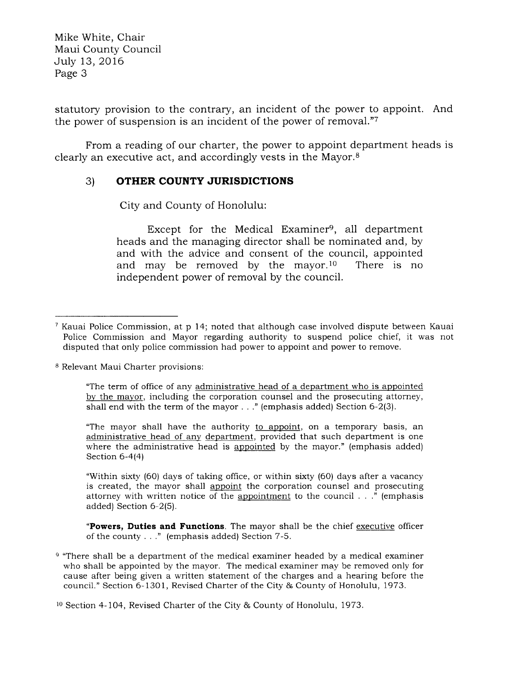Mike White, Chair Maui County Council July 13,2016 Page 3

statutory provision to the contrary, an incident of the power to appoint. And the power of suspension is an incident of the power of removal."7

From a reading of our charter, the power to appoint department heads is clearly an executive act, and accordingly vests in the Mayor.<sup>8</sup>

# 3) OTHER COUNTY JURISDICTIONS

City and County of Honolulu:

Except for the Medical Examiner<sup>9</sup>, all department heads and the managing director shall be nominated and, by and with the advice and consent of the council, appointed and may be removed by the mayor.<sup>10</sup> There is no independent power of removal by the council.

"The mayor shall have the authority to appoint, on a temporary basis, an administrative head of any department, provided that such department is one where the administrative head is appointed by the mayor." (emphasis added) Section 6-4(4)

"Within sixty (60) days of taking office, or within sixty (60) days after a vacancy is created, the mayor shall appoint the corporation counsel and prosecuting attorney with written notice of the appointment to the council  $\ldots$  " (emphasis added) Section 6-2(5).

"Powers, Duties and Functions. The mayor shall be the chief executive officer of the county . . ." (emphasis added) Section 7-5.

<sup>9</sup> "There shall be a department of the medical examiner headed by a medical examiner who shall be appointed by the mayor. The medical examiner may be removed only for cause after being given a written statement of the charges and a hearing before the council." Section 6-13O1, Revised Charter of the City & County of Honolulu,1973.

<sup>&</sup>lt;sup>7</sup> Kauai Police Commission, at p 14; noted that although case involved dispute between Kauai Police Commission and Mayor regarding authority to suspend police chief, it was not disputed that only police commission had power to appoint and power to remove.

<sup>8</sup> Relevant Maui Charter provisions:

<sup>&</sup>quot;The term of office of any administrative head of a department who is appointed by the mavor, including the corporation counsel and the prosecuting attorney, shall end with the term of the mayor  $\ldots$  " (emphasis added) Section 6-2(3).

<sup>10</sup> Section 4-104, Revised Charter of the City & County of Honolulu, 1973.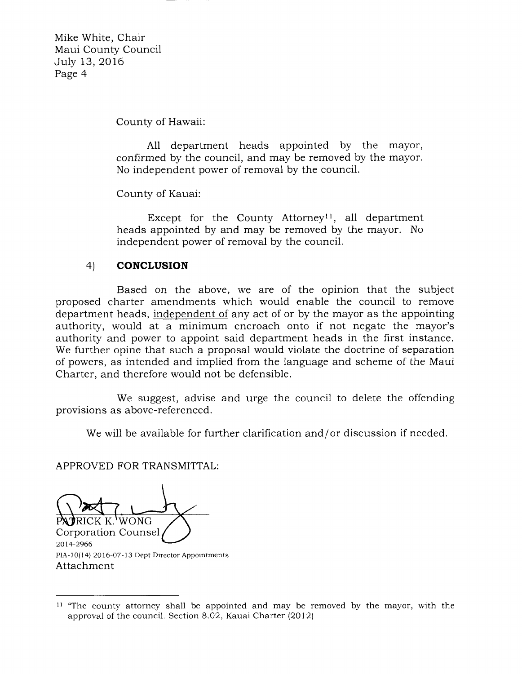Mike White, Chair Maui County Council July 13, 2016 Page 4

County of Hawaii:

A11 department heads appointed by the mayor, confirmed by the council, and may be removed by the mayor. No independent power of removal by the council.

County of Kauai:

Except for the County Attorney<sup>11</sup>, all department heads appointed by and may be removed by the mayor. No independent power of removal by the council.

#### 4) CONCLUSTON

Based on the above, we are of the opinion that the subject proposed charter amendments which would enable the council to remove department heads, independent of any act of or by the mayor as the appointing authority, would at a minimum encroach onto if not negate the mayor's authority and power to appoint said department heads in the first instance. We further opine that such a proposal would violate the doctrine of separation of powers, as intended and implied from the language and scheme of the Maui Charter, and therefore would not be defensible.

We suggest, advise and urge the council to delete the offending provisions as above-referenced.

We will be available for further clarification and/or discussion if needed.

APPROVED FOR TRANSMITTAL:

RICK K. WONG Corporation Counsel 2014-2966 PIA-10(14) 2016-07-13 Dept Director Appointments

Attachment

<sup>&</sup>lt;sup>11</sup> "The county attorney shall be appointed and may be removed by the mayor, with the approval of the council. Section 8.02, Kauai Charter (2012)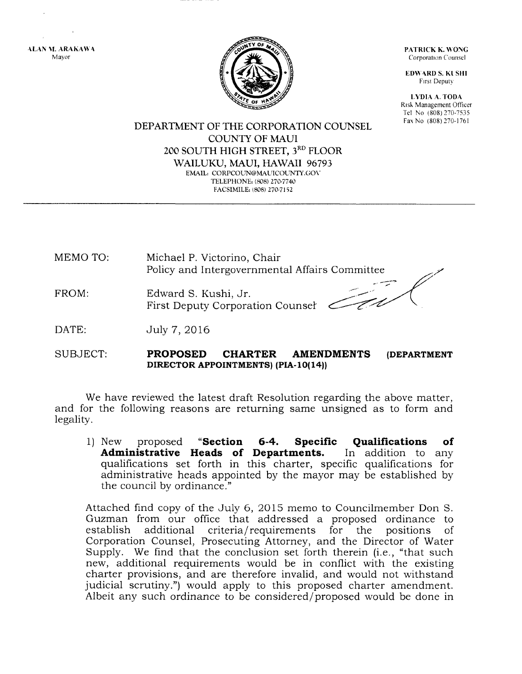file of the second control of the second control of the second control of the second control of the second control of the second control of the second control of the second control of the second control of the second contr

PATRICK K. WONG Corporation Counsel

ED\\'4,RD S. KI. SHI Frrst Deputy

LYDIA A. TODA<br>Risk Management Officer Tel No (808) 270-7535<br>Fax No (808) 270-1761

## DEPARTMENT OF THE CORPORATION COUNSEL COLINTY OF MAUI 2OO SOUTH HIGH STREET, 3RD FLOOR WAILUKU, MAUI, HAWAII 96793 EMAIL: CORPCOUN@MAUICOUNTY.GOV TELEPHONE: (808) 27&7740 FACSIMILE: (808) 270-7152

- MEMO TO: Michael P. Victorino, Chair Policy and Intergovernmental Affairs Committee
- FROM: Edward S. Kushi, Jr. First Deputy Corporation Counsel

- DATE: July 7, 2016
- SUBJECT: PROPOSED CHARTER AMENDMENTS DIRECTOR APPOINTMENTS) (PIA-10(14)) (DEPARTMENT

We have reviewed the latest draft Resolution regarding the above matter, and for the following reasons are returning same unsigned as to form and legality.

1) New proposed "Section 6-4. Specific Qualifications of Administrative Heads of Departments. In addition to any Administrative Heads of Departments. In addition to any qualifications set forth in this charter, specific qualifications for administrative heads appointed by the mayor may be established by the council by ordinance."

Attached find copy of the July 6, 2Ol5 memo to Councilmember Don S. Guzman from our office that addressed a proposed ordinance to additional criteria/requirements for the Corporation Counsel, Prosecuting Attorney, and the Director of Water Supply. We find that the conclusion set forth therein (i.e., "that such new, additional requirements would be in conflict with the existing charter provisions, and are therefore invalid, and would not withstand judicial scrutiny.") would apply to this proposed charter amendment. Albeit any such ordinance to be considered/proposed would be done in

ALAN M. ARAKAWA Mayor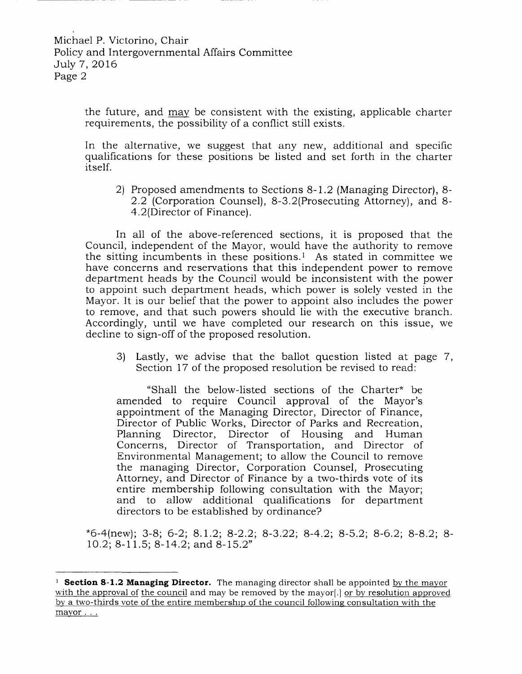the future, and may be consistent with the existing, applicable charter requirements, the possibility of a conflict still exists.

In the alternative, we suggest that any new, additional and specific qualifications for these positions be listed and set forth in the charter itself.

2l Proposed amendments to Sections B-1,2 (Managing Director), 8- 2.2 (Corporation Counsel), 8-3.2(Prosecuting Attorney), and 8- 4.2(Director of Finance).

In all of the above-referenced sections, it is proposed that the Council, independent of the Mayor, would have the authority to remove the sitting incumbents in these positions.<sup>1</sup> As stated in committee we have concerns and reservations that this independent power to remove department heads by the Council would be inconsistent with the power to appoint such department heads, which power is solely vested in the Mayor. It is our belief that the power to appoint also includes the power to remove, and that such powers should lie with the executive branch. Accordingly, until we have completed our research on this issue, we decline to sign-off of the proposed resolution.

3) Lastly, we advise that the ballot question iisted at page 7, Section 17 of the proposed resolution be revised to read:

"Shall the below-listed sections of the Charter\* be amended to require Council approval of the Mayor's appointment of the Managing Director, Director of Finance, Director of Public Works, Director of Parks and Recreation, Planning Director, Director of Housing and Human Concerns, Director of Transportation, and Director of Environmental Management; to allow the Council to remove the managing Director, Corporation Counsel, Prosecuting Attorney, and Director of Finance by a two-thirds vote of its entire membership following consultation with the Mayor; and to allow additional qualifications for department directors to be established by ordinance?

 $*6-4$ (new); 3-8; 6-2; 8.1.2; 8-2.2; 8-3.22; 8-4.2; 8-5.2; 8-6.2; 8-8.2; 8lO.2;8-11.5; 8-14.2; and 8-15.2"

<sup>&</sup>lt;sup>1</sup> **Section 8-1.2 Managing Director.** The managing director shall be appointed by the mayor with the approval of the council and may be removed by the mayor $[.]$  or by resolution approved by a two-thirds vote of the entire membership of the council following consultation with the mayor . . .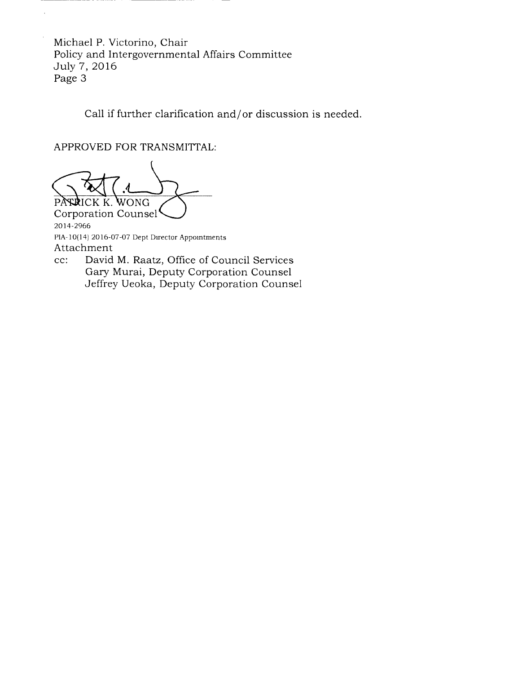Michael P. Victorino, Chair Policy and Intergovernmental Affairs Committee July 7,2016 Page 3

Call if further clarification and/or discussion is needed.

APPROVED FOR TRANSMITTAL:

Corporation CounselPATRICK K. WONG

PIA-10(14) 2016-07-07 Dept Director Appointments Attachment 2014-2966

cc: David M. Raatz, Office of Council Services Gary Murai, Deputy Corporation Counsel Jeffrey Ueoka, Deputy Corporation Counsel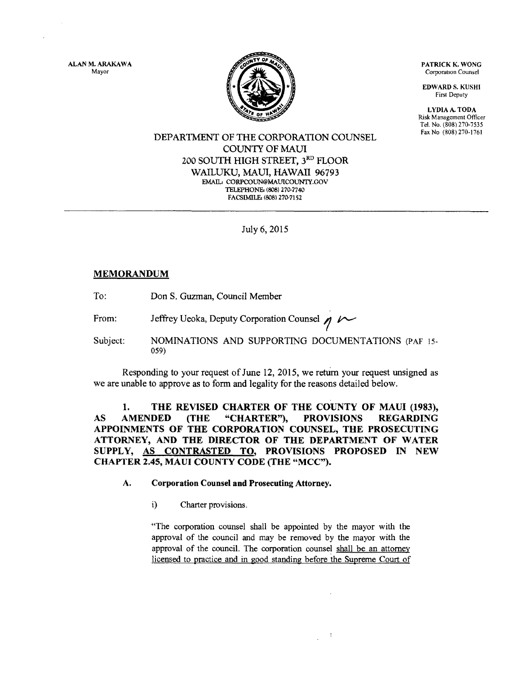ALANM, ARAKAWA Mayor



PATRICK K, WONG Corporation Counsel

EDWARD S. KUSHI First Deputy

LYDIAA.TODA Risk Management Officer Tel. No. (808) 270-7535<br>Fax No (808) 270-1761

#### DEPARTMENT OF THE CORPORATION COUNSEL COLINTY OF MAUI 2oo souTH HIGH STREET,3RD FLOOR WAILUKU, MAUI, HAWAII 96793 EMAIL: CORPCOUN@MAUICOUNTY.GOV TELEPHONE: (808) 270-7740 FACSIMILE: (808) 270-7152

July 6, 2015

## MEMORANDUM

- To: Don S. Guzman, Council Mernber
- From: Jeffrey Ueoka, Deputy Corporation Counsel  $\gamma \sim$
- Subject: NOMINATIONS AND SUPPORTING DOCUMENTATIONS (PAF 15-0s9)

Responding to your request of June 12, 2015, we return your request unsigned as we are unable to approve as to form and legality for the reasons detailed below.

1. THE REVISED CHARTER OF THE COUNTY OF MAUI (1983), AS AMENDED (THE "CHARTER"), PROVISIONS REGARDING APPOINMENTS OF THE CORPORATION COUNSEL, THE PROSECUTING ATTORNEY, AND THE DIRECTOR OF THE DEPARTMENT OF WATER suPPLY, AS CONTRASTED TO, PROVISIONS PROPOSED IN NEW CHAPTER 2.45, MAUI COUNTY CODE (THE "MCC").

#### A. Corporation Counsel and Prosecuting Attorney.

 $i)$ Charter provisions.

"The corporation counsel shall be appointed by the mayor with the approval of the council and may be removed by the mayor with the approval of the council. The corporation counsel shall be an attomev licensed to practice and in good standing before the Supreme Court of

 $\mathcal{L}_{\mathcal{I}}$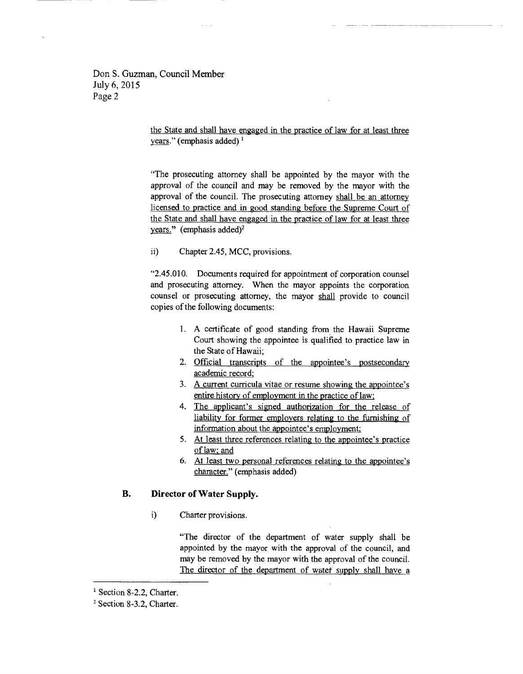Don S. Guzman, Council Member July 6, 2015 Page 2

> the State and shall have engaged in the practice of law for at least three years." (emphasis added)  $<sup>1</sup>$ </sup>

> "The prosecuting attomey shall be appointed by the mayor with the approval of the council and may be removed by the mayor with the approval of the council. The prosecuting attorney shall be an attorney licensed to practice and in good standing before the Supreme Court of the State and shall have engaged in the practice of law for at least three years." (emphasis added)<sup>2</sup>

ii) Chapter 2.45,MCC, provisions.

"2.45.010. Documents required for appointment of corporation counsel and prosecuting attorney. When the mayor appoints the corporation counsel or prosecuting attomey, the mayor shall provide to council copies of the following documents:

- l. A certificate of good standing from. the Hawaii Suprerne Court showing the appointee is qualified to practice law in the State of Hawaii;
- 2. Official transcripts of the appointee's postsecondary academic record:
- 3. A current curricula vitae or resume showing the appointee's entire historv of employment in the practice of law:
- 4. The applicant's signed authorization for the release of liability for former employers relating to the furnishing of information about the appointee's employment:
- 5. At least three references relating to the appointee's practice of law: and
- 6. At least two personal references relating to the appointee's character." (emphasis added)

#### Director of Water Supply. B.

i) Charter provisions.

"The director of the department of water supply shall be appointed by the mayor with the approval of the council, and may be removed by the mayor with the approval of the council. The director of the department of watef supply shall have a

<sup>&</sup>lt;sup>1</sup> Section 8-2.2, Charter.

<sup>&</sup>lt;sup>2</sup> Section 8-3.2, Charter.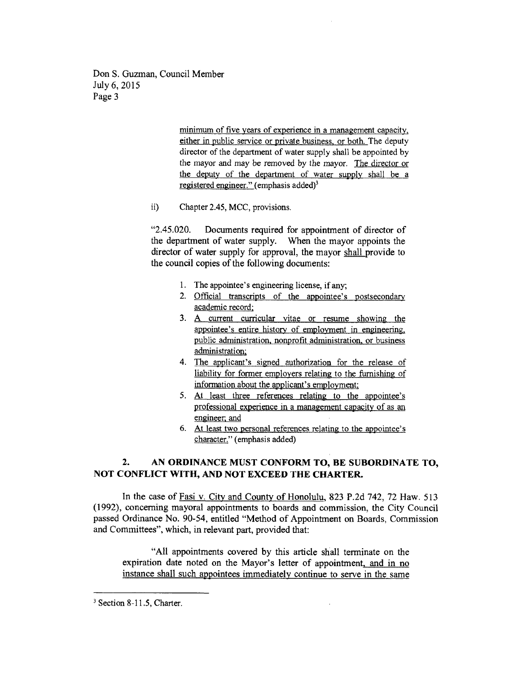Don S. Guzman, Council Member July 6, 2015 Page 3

> minimum of five vears of experience in a management capacity. either in public service or private business. or both. The deputy director of the department of water supply shall be appointed by the mayor and may be removed by the mayor. The director or the deputy of the department of water supply shall be <sup>a</sup> registered engineer." (emphasis added)<sup>3</sup>

ii) Chapter 2.45, MCC, provisions.

\*2.45.020. Documents required for appointnent of director of the department of water supply. When the mayor appoints the director of water supply for approval, the mayor shall provide to the council copies of the following documents:

- 1. The appointee's engineering license, if any;
- 2. Official transcripts of the apoointee's postsecondary academic record:
- 3. A current curricular vitae or resume showing the appointee's entire history of employment in engineering. public administration, nonprofit administration, or business administration:
- 4. The applicant's signed authorization for the release of liability for former employers relating to the fumishing of information about the applicant's employment;
- 5. At least three references relating to the appointee's professional experience in a management capacity of as an engineer: and
- 6. At least two personal references relating to the appointee's character." (emphasis added)

## 2. AN ORDINANCE MUST CONFORM TO, BE SUBORDINATE TO, NOT CONFLICT WITH, AND NOT EXCEED THE CHARTER.

In the case of Fasi v. City and County of Honolulu, 823 P.2d 742, 72 Haw. 513  $(1992)$ , concerning mayoral appointments to boards and commission, the City Council passed Ordinance No. 90-54, entitled "Method of Appointnent on Boards, Commission and Committees", which, in relevant part, provided that:

"All appointments covered by this article shall terminate on the expiration date noted on the Mayor's letter of appointment, and in no instance shall such appointees immediately continue to serve in the same

<sup>&</sup>lt;sup>3</sup> Section 8-11.5, Charter.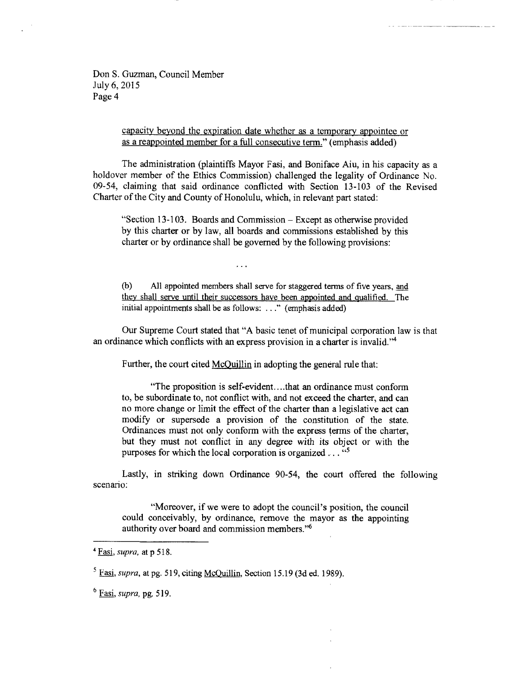Don S. Guzman, Council Member July 6, 2015 Page 4

> capacity beyond the expiration date whether as a temporary appointee or as a reappointed member for a full consecutive term," (emphasis added)

The administration (plaintiffs Mayor Fasi, and Boniface Aiu, in his capacity as a holdover member of the Ethics Commission) challenged the legality of Ordinance No. 09-54, claiming that said ordinance conflicted with Section 13-103 of the Revised Charter of the City and County of Honolulu, which, in relevant part stated:

"Section 13-1 03. Boards and Commission - Except as otherwise provided by this charter or by law, all boards and commissions established by this charter or by ordinance shall be govemed by the following provisions:

 $\ddotsc$ 

(b) All appointed members shall serve for staggered terms of five years, and they shall serve until their successors have been appointed and qualified. The initial appointments shall be as follows: . . ." (emphasis added)

Our Supreme Court stated that "A basic tenet of municipal corporation law is that an ordinance which conflicts with an express provision in a charter is invalid."<sup>4</sup>

Further, the court cited McQuillin in adopting the general rule that:

"The proposition is self-evident....that an ordinance must conform to, be subordinate to, not conflict with, and not exceed the charter, and can no more change or limit the effect of the charter than a legislative act can modify or supersede a provision of the constitution of the state. Ordinances must not only conform with the express terms of the charter, but they must not conflict in any degree with its object or with the purposes for which the local corporation is organized  $\ldots$   $\cdot$ 

Lastly, in striking down Ordinance 90-54, the court offered the following scenario:

"Moreover, if we were to adopt the council's position, the council could conceivably, by ordinance, remove the mayor as the appointing authority over board and commission members."6

 $4$  Fasi, supra, at p 518.

 $5$  Fasi, *supra*, at pg. 519, citing McOuillin, Section 15.19 (3d ed. 1989).

 $6$  Fasi, supra, pg. 519.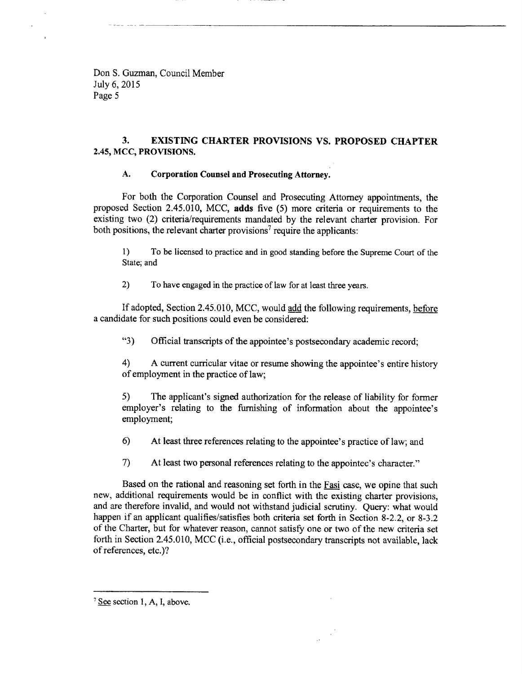Don S. Guzman, Council Member July 6,2015 Page 5

#### 3. EXISTING CHARTER PROVISIONS VS. PROPOSED CHAPTER 2.45, MCC, PROVISIONS.

#### A. Corporation Counsel and Prosecuting Attorney.

For both the Corporation Counsel and Prosecuting Attorney appointments, the proposed Section 2.45.010, MCC, adds five (5) more criteria or requirements to the existing two (2) criteria/requirements mandated by the relevant charter provision. For both positions, the relevant charter provisions<sup>7</sup> require the applicants:

l) To be licensed to practice and in good standing before the Supreme Court of the State; and

2) To have engaged in the practice of law for at least three years.

If adopted, Section 2.45.010, MCC, would add the following requirements, before a candidate for such positions could even be considered:

"3) Official tanscripts of the appointee's postsecondary academic record;

4) <sup>A</sup>current curricular vitae or resume showing the appointee's entire history of employment in the practice of law;

5) The applicant's signed authorization for the release of liability for former employer's relating to the furnishing of information about the appointee's employment;

- 6) At least three references relating to the appointee's practice of law; and
- 7) At least two personal references relating to the appointee's character."

Based on the rational and reasoning set forth in the Fasi case, we opine that such new, additional requirements would be in conflict with the existing charter provisions, and are therefore invalid, and would not withstand judicial scrutiny. Query: what would happen if an applicant qualifies/satisfies both criteria set forth in Section 8-2.2, or 8-3.2 of the Charter, but for whatever reason, cannot satisfy one or two of the new criteria set forth in Section 2.45.010, MCC (i.e., official postsecondary transcripts not available, lack of references, etc.)?

 $7$  See section 1, A, I, above.